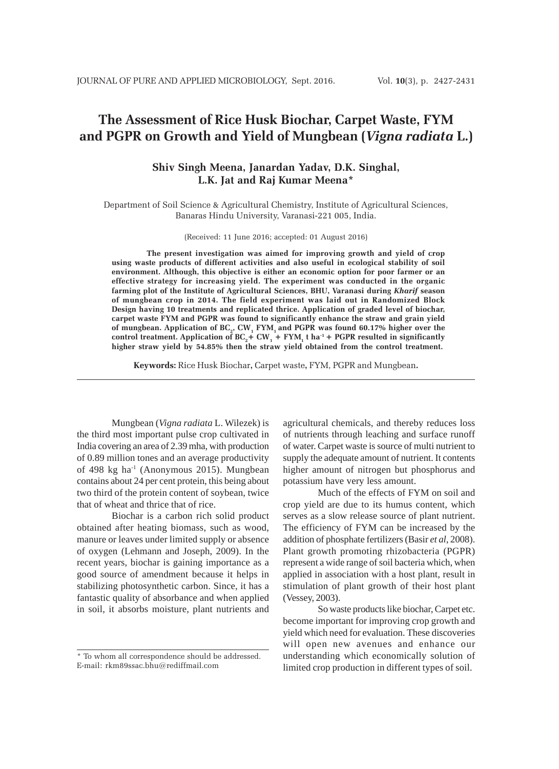# **The Assessment of Rice Husk Biochar, Carpet Waste, FYM and PGPR on Growth and Yield of Mungbean (***Vigna radiata* **L.)**

## **Shiv Singh Meena, Janardan Yadav, D.K. Singhal, L.K. Jat and Raj Kumar Meena\***

Department of Soil Science & Agricultural Chemistry, Institute of Agricultural Sciences, Banaras Hindu University, Varanasi-221 005, India.

(Received: 11 June 2016; accepted: 01 August 2016)

**The present investigation was aimed for improving growth and yield of crop using waste products of different activities and also useful in ecological stability of soil environment. Although, this objective is either an economic option for poor farmer or an effective strategy for increasing yield. The experiment was conducted in the organic farming plot of the Institute of Agricultural Sciences, BHU, Varanasi during** *Kharif* **season of mungbean crop in 2014. The field experiment was laid out in Randomized Block Design having 10 treatments and replicated thrice. Application of graded level of biochar, carpet waste FYM and PGPR was found to significantly enhance the straw and grain yield** of mungbean. Application of BC<sub>2</sub>, CW<sub>1</sub> FYM<sub>1</sub> and PGPR was found 60.17% higher over the  $\text{control treatment. Application of BC}_{2} + \text{CW}_{1} + \text{FYM}_{1}$  t ha $^{1}$  +  $\text{PGPR}$  resulted in significantly **higher straw yield by 54.85% then the straw yield obtained from the control treatment.**

**Keywords:** Rice Husk Biochar**,** Carpet waste**,** FYM, PGPR and Mungbean**.**

Mungbean (*Vigna radiata* L. Wilezek) is the third most important pulse crop cultivated in India covering an area of 2.39 mha, with production of 0.89 million tones and an average productivity of 498 kg ha-1 (Anonymous 2015). Mungbean contains about 24 per cent protein, this being about two third of the protein content of soybean, twice that of wheat and thrice that of rice.

Biochar is a carbon rich solid product obtained after heating biomass, such as wood, manure or leaves under limited supply or absence of oxygen (Lehmann and Joseph, 2009). In the recent years, biochar is gaining importance as a good source of amendment because it helps in stabilizing photosynthetic carbon. Since, it has a fantastic quality of absorbance and when applied in soil, it absorbs moisture, plant nutrients and

agricultural chemicals, and thereby reduces loss of nutrients through leaching and surface runoff of water. Carpet waste is source of multi nutrient to supply the adequate amount of nutrient. It contents higher amount of nitrogen but phosphorus and potassium have very less amount.

Much of the effects of FYM on soil and crop yield are due to its humus content, which serves as a slow release source of plant nutrient. The efficiency of FYM can be increased by the addition of phosphate fertilizers (Basir *et al*, 2008). Plant growth promoting rhizobacteria (PGPR) represent a wide range of soil bacteria which, when applied in association with a host plant, result in stimulation of plant growth of their host plant (Vessey, 2003).

So waste products like biochar, Carpet etc. become important for improving crop growth and yield which need for evaluation. These discoveries will open new avenues and enhance our understanding which economically solution of limited crop production in different types of soil.

<sup>\*</sup> To whom all correspondence should be addressed. E-mail: rkm89ssac.bhu@rediffmail.com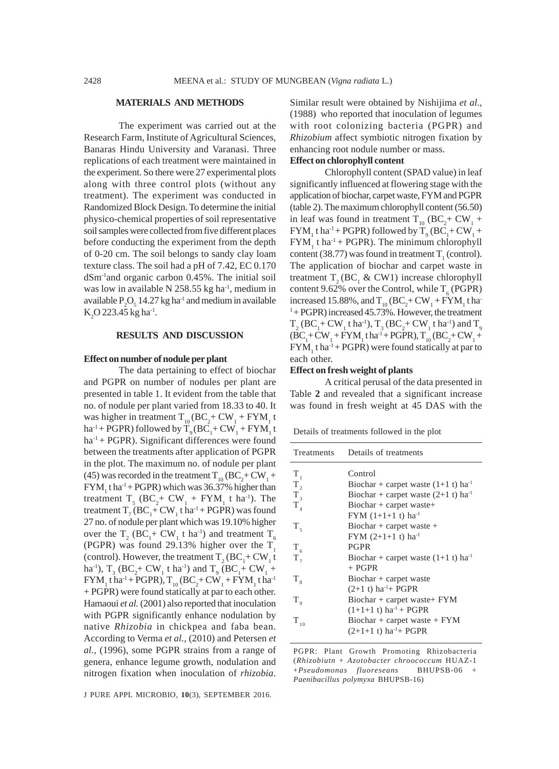## **MATERIALS AND METHODS**

The experiment was carried out at the Research Farm, Institute of Agricultural Sciences, Banaras Hindu University and Varanasi. Three replications of each treatment were maintained in the experiment. So there were 27 experimental plots along with three control plots (without any treatment). The experiment was conducted in Randomized Block Design. To determine the initial physico-chemical properties of soil representative soil samples were collected from five different places before conducting the experiment from the depth of 0-20 cm. The soil belongs to sandy clay loam texture class. The soil had a pH of 7.42, EC 0.170 dSm-1and organic carbon 0.45%. The initial soil was low in available N 258.55 kg ha<sup>-1</sup>, medium in available  $P_2O_5$  14.27 kg ha<sup>-1</sup> and medium in available  $K_2$ O 223.45 kg ha<sup>-1</sup>.

## **RESULTS AND DISCUSSION**

## **Effect on number of nodule per plant**

The data pertaining to effect of biochar and PGPR on number of nodules per plant are presented in table 1. It evident from the table that no. of nodule per plant varied from 18.33 to 40. It was higher in treatment  $T_{10} (BC_2 + CW_1 + FYM_1)$ ha<sup>-1</sup> + PGPR) followed by  $T_9(BC_1 + CW_1 + FYM_1$  t  $ha<sup>-1</sup> + PGPR$ ). Significant differences were found between the treatments after application of PGPR in the plot. The maximum no. of nodule per plant (45) was recorded in the treatment  $T_{10} (BC_2 + CW_1 +$  $\text{FYM}_1$  t ha<sup>-1</sup> + PGPR) which was 36.37% higher than treatment  $T_5$  (BC<sub>2</sub>+ CW<sub>1</sub> + FYM<sub>1</sub> t ha<sup>-1</sup>). The treatment  $T_7$  (BC<sub>1</sub>+ CW<sub>1</sub> t ha<sup>-1</sup> + PGPR) was found 27 no. of nodule per plant which was 19.10% higher over the  $T_2$  (BC<sub>1</sub>+ CW<sub>1</sub> t ha<sup>-1</sup>) and treatment  $T_6$ (PGPR) was found 29.13% higher over the  $T_1$ (control). However, the treatment  $T_2 (BC_1 + CW_1)$ ha<sup>-1</sup>),  $T_3$  (BC<sub>2</sub>+ CW<sub>1</sub> t ha<sup>-1</sup>) and  $T_9$  (BC<sub>1</sub>+ CW<sub>1</sub> +  $\text{FYM}_1$  t ha<sup>-1</sup> + PGPR),  $\text{T}_{10}(\text{BC}_2 + \text{CW}_1 + \text{FYM}_1$  t ha<sup>-1</sup> + PGPR) were found statically at par to each other. Hamaoui *et al.* (2001) also reported that inoculation with PGPR significantly enhance nodulation by native *Rhizobia* in chickpea and faba bean. According to Verma *et al.,* (2010) and Petersen *et al.,* (1996), some PGPR strains from a range of genera, enhance legume growth, nodulation and nitrogen fixation when inoculation of *rhizobia*.

Similar result were obtained by Nishijima *et al*., (1988) who reported that inoculation of legumes with root colonizing bacteria (PGPR) and *Rhizobium* affect symbiotic nitrogen fixation by enhancing root nodule number or mass. **Effect on chlorophyll content**

## Chlorophyll content (SPAD value) in leaf significantly influenced at flowering stage with the application of biochar, carpet waste, FYM and PGPR (table 2). The maximum chlorophyll content (56.50) in leaf was found in treatment  $T_{10}$  (BC<sub>2</sub>+ CW<sub>1</sub> +  $FYM_1$  t ha<sup>-1</sup> + PGPR) followed by  $T_9$  (BC<sub>1</sub>+ CW<sub>1</sub> +  $FYM_1$  t ha<sup>-1</sup> + PGPR). The minimum chlorophyll content (38.77) was found in treatment  $T_1$  (control). The application of biochar and carpet waste in treatment  $T_2(BC_1 \& CWI)$  increase chlorophyll content 9.62% over the Control, while  $T_6$  (PGPR) increased 15.88%, and  $T_{10}$  (BC<sub>2</sub>+ CW<sub>1</sub> + FYM<sub>1</sub> t ha  $1 + PGPR$ ) increased 45.73%. However, the treatment  $T_2$  (BC<sub>1</sub>+ CW<sub>1</sub> t ha<sup>-1</sup>),  $T_3$  (BC<sub>2</sub>+ CW<sub>1</sub> t ha<sup>-1</sup>) and  $T_9$  $(BC_1 + CW_1 + FYM_1$  t ha<sup>-1</sup> + PGPR),  $T_{10}$  (BC<sub>2</sub> + CW<sub>1</sub> +  $FYM<sub>1</sub>$  t ha<sup>-1</sup> + PGPR) were found statically at par to each other.

#### **Effect on fresh weight of plants**

A critical perusal of the data presented in Table **2** and revealed that a significant increase was found in fresh weight at 45 DAS with the

Details of treatments followed in the plot

| Treatments      | Details of treatments                                       |
|-----------------|-------------------------------------------------------------|
| $T_{1}$         | Control                                                     |
| $T_{2}$         | Biochar + carpet waste $(1+1)$ ha <sup>-1</sup>             |
| $\rm T_{_3}$    | Biochar + carpet waste $(2+1)$ ha <sup>-1</sup>             |
| $T_{4}$         | $Biochar + carpet waste +$                                  |
|                 | FYM $(1+1+1)$ ha <sup>-1</sup>                              |
| $T_{5}$         | Biochar + carpet waste +                                    |
|                 | FYM $(2+1+1)$ ha <sup>-1</sup>                              |
| $T_{6}$         | <b>PGPR</b>                                                 |
| $T_{7}$         | Biochar + carpet waste $(1+1)$ ha <sup>-1</sup><br>$+$ PGPR |
| $T_{\rm g}$     | Biochar + carpet waste                                      |
|                 | $(2+1 t)$ ha <sup>-1</sup> + PGPR                           |
| $T_{\rm q}$     | Biochar + carpet waste+ FYM                                 |
|                 | $(1+1+1)$ ha <sup>-1</sup> + PGPR                           |
| $\rm T_{_{10}}$ | $Biochar + carpet waste + FYM$                              |
|                 | $(2+1+1)$ ha <sup>-1</sup> + PGPR                           |

PGPR: Plant Growth Promoting Rhizobacteria (*Rhizobiutn* + *Azotobacter chroococcum* HUAZ-1 +*Pseudomonas fluoreseans* BHUPSB-06 + *Paenibacillus polymyxa* BHUPSB-16)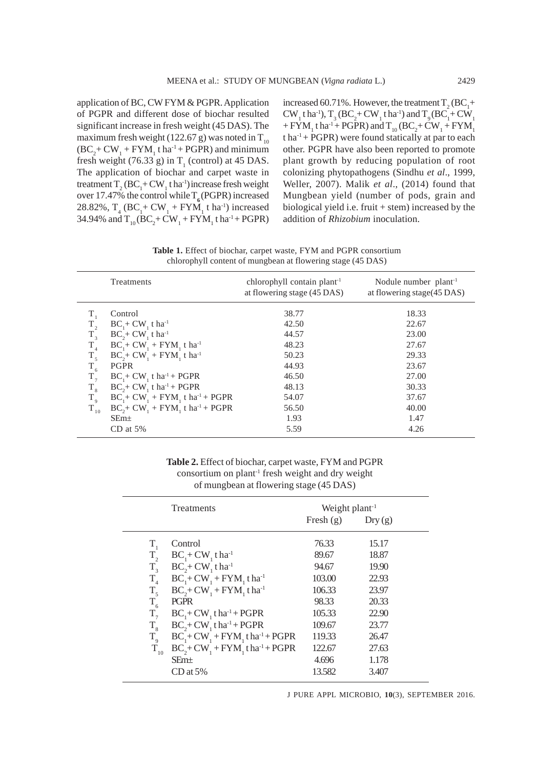application of BC, CW FYM & PGPR. Application of PGPR and different dose of biochar resulted significant increase in fresh weight (45 DAS). The maximum fresh weight (122.67 g) was noted in  $T_{10}$  $(BC<sub>2</sub>+ CW<sub>1</sub> + FYM<sub>1</sub> t ha<sup>-1</sup> + PGPR)$  and minimum fresh weight (76.33 g) in  $T_1$  (control) at 45 DAS. The application of biochar and carpet waste in treatment  $T_2 (BC_1 + CW_1$  tha<sup>-1</sup>) increase fresh weight over 17.47% the control while  $T_6$  (PGPR) increased 28.82%,  $T_4$  (BC<sub>1</sub>+ CW<sub>1</sub> + FYM<sub>1</sub> t ha<sup>-1</sup>) increased 34.94% and  $T_{10} (BC_2 + CW_1 + FYM_1)$  tha<sup>-1</sup> + PGPR)

increased 60.71%. However, the treatment  $T_2(BC_1 +$  $CW_1$  t ha<sup>-1</sup>),  $T_3$  (BC<sub>2</sub>+ CW<sub>1</sub> t ha<sup>-1</sup>) and  $T_9$ (BC<sub>1</sub>+ CW<sub>1</sub> +  $\text{FYM}_1$  t ha<sup>-1</sup> + PGPR) and T<sub>10</sub> (BC<sub>2</sub>+ CW<sub>1</sub> + FYM<sub>1</sub>  $t$  ha<sup>-1</sup> + PGPR) were found statically at par to each other. PGPR have also been reported to promote plant growth by reducing population of root colonizing phytopathogens (Sindhu *et al*., 1999, Weller, 2007). Malik *et al*., (2014) found that Mungbean yield (number of pods, grain and biological yield i.e. fruit + stem) increased by the addition of *Rhizobium* inoculation.

**Table 1.** Effect of biochar, carpet waste, FYM and PGPR consortium chlorophyll content of mungbean at flowering stage (45 DAS)

|               | Treatments                                      | chlorophyll contain plant <sup>-1</sup><br>at flowering stage (45 DAS) | Nodule number $plan1$<br>at flowering stage (45 DAS) |
|---------------|-------------------------------------------------|------------------------------------------------------------------------|------------------------------------------------------|
| T,            | Control                                         | 38.77                                                                  | 18.33                                                |
| $T_{2}$       | $BC_1 + CW_1$ t ha <sup>-1</sup>                | 42.50                                                                  | 22.67                                                |
| $T_{\tiny 3}$ | $BC_2 + CW_1$ t ha <sup>-1</sup>                | 44.57                                                                  | 23.00                                                |
| $T_{\rm A}$   | $BC_1 + CW_1 + FYM_1$ t ha <sup>-1</sup>        | 48.23                                                                  | 27.67                                                |
| $T_{\zeta}$   | $BC_2 + CW_1 + FYM_1$ t ha <sup>-1</sup>        | 50.23                                                                  | 29.33                                                |
| $T_{6}$       | PGPR                                            | 44.93                                                                  | 23.67                                                |
| $T_{7}$       | $BC_1 + CW_1$ t ha <sup>-1</sup> + PGPR         | 46.50                                                                  | 27.00                                                |
| $T_{\rm s}$   | $BC_2 + CW_1$ t ha <sup>-1</sup> + PGPR         | 48.13                                                                  | 30.33                                                |
| $T_{\rm q}$   | $BC_1 + CW_1 + FYM_1$ t ha <sup>-1</sup> + PGPR | 54.07                                                                  | 37.67                                                |
| $T_{10}$      | $BC_2 + CW_1 + FYM_1$ t ha <sup>-1</sup> + PGPR | 56.50                                                                  | 40.00                                                |
|               | SEm <sub>±</sub>                                | 1.93                                                                   | 1.47                                                 |
|               | $CD$ at 5%                                      | 5.59                                                                   | 4.26                                                 |

**Table 2.** Effect of biochar, carpet waste, FYM and PGPR consortium on plant-1 fresh weight and dry weight of mungbean at flowering stage (45 DAS)

|                | Weight plant <sup>-1</sup><br>Treatments             |             |        |  |
|----------------|------------------------------------------------------|-------------|--------|--|
|                |                                                      | Fresh $(g)$ | Dry(g) |  |
| $T_{1}$        | Control                                              | 76.33       | 15.17  |  |
| $T_{2}$        | $BC_1 + CW_1$ tha <sup>-1</sup>                      | 89.67       | 18.87  |  |
| $T_{3}$        | $BC_2 + CW_1$ t ha <sup>-1</sup>                     | 94.67       | 19.90  |  |
| $T_{4}$        | $BC_1 + CW_1 + FYM_1$ t ha <sup>-1</sup>             | 103.00      | 22.93  |  |
| T <sub>5</sub> | $BC_2 + CW_1 + FYM_1$ t ha <sup>-1</sup>             | 106.33      | 23.97  |  |
| $T_{6}$        | <b>PGPR</b>                                          | 98.33       | 20.33  |  |
| $T_{7}$        | $BC_1 + CW_1$ t ha <sup>-1</sup> + PGPR              | 105.33      | 22.90  |  |
| $T_{8}$        | $BC_{2}$ + CW <sub>1</sub> t ha <sup>-1</sup> + PGPR | 109.67      | 23.77  |  |
| $T_{q}$        | $BC_1 + CW_1 + FYM_1$ t ha <sup>-1</sup> + PGPR      | 119.33      | 26.47  |  |
| $T_{10}$       | $BC_2 + CW_1 + FYM_1$ t ha <sup>-1</sup> + PGPR      | 122.67      | 27.63  |  |
|                | <b>SEm</b> ±                                         | 4.696       | 1.178  |  |
|                | $CD$ at 5%                                           | 13.582      | 3.407  |  |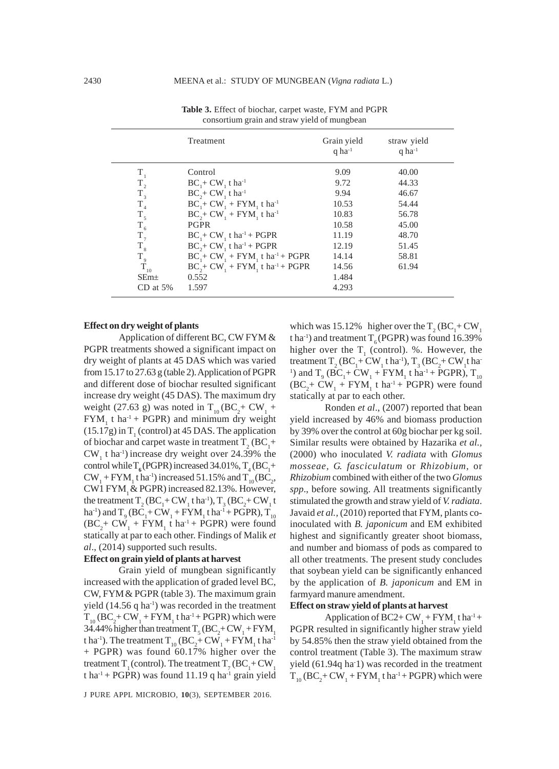|                         | Treatment                                       | Grain yield<br>$q$ ha <sup>-1</sup> | straw yield<br>$q$ ha <sup>-1</sup> |
|-------------------------|-------------------------------------------------|-------------------------------------|-------------------------------------|
| Τ,                      | Control                                         | 9.09                                | 40.00                               |
| $T_{2}$                 | $BC_1 + CW_1$ t ha <sup>-1</sup>                | 9.72                                | 44.33                               |
| $T_{3}$                 | $BC_2 + CW_1$ t ha <sup>-1</sup>                | 9.94                                | 46.67                               |
| $T_{4}$                 | $BC_1 + CW_1 + FYM_1$ t ha <sup>-1</sup>        | 10.53                               | 54.44                               |
| $T_{5}$                 | $BC_2 + CW_1 + FYM_1$ t ha <sup>-1</sup>        | 10.83                               | 56.78                               |
| $T_{6}$                 | PGPR                                            | 10.58                               | 45.00                               |
| $T_{7}$                 | $BC_1 + CW_1$ t ha <sup>-1</sup> + PGPR         | 11.19                               | 48.70                               |
| $T_{8}$                 | $BC_2 + CW_1$ t ha <sup>-1</sup> + PGPR         | 12.19                               | 51.45                               |
| $T_{\rm g}$             | $BC_1 + CW_1 + FYM_1$ t ha <sup>-1</sup> + PGPR | 14.14                               | 58.81                               |
| $\tilde{\rm T}_{_{10}}$ | $BC_2 + CW_1 + FYM_1$ t ha <sup>-1</sup> + PGPR | 14.56                               | 61.94                               |
| SEm <sub>±</sub>        | 0.552                                           | 1.484                               |                                     |
| $CD$ at $5\%$           | 1.597                                           | 4.293                               |                                     |

**Table 3.** Effect of biochar, carpet waste, FYM and PGPR consortium grain and straw yield of mungbean

## **Effect on dry weight of plants**

Application of different BC, CW FYM & PGPR treatments showed a significant impact on dry weight of plants at 45 DAS which was varied from 15.17 to 27.63 g (table 2). Application of PGPR and different dose of biochar resulted significant increase dry weight (45 DAS). The maximum dry weight (27.63 g) was noted in  $T_{10} (BC_2 + CW_1 +$  $FYM_1$  t ha<sup>-1</sup> + PGPR) and minimum dry weight  $(15.17g)$  in T<sub>1</sub> (control) at 45 DAS. The application of biochar and carpet waste in treatment  $T_2 (BC_1 +$  $CW_1$  t ha<sup>-1</sup>) increase dry weight over 24.39% the control while  $T_6$  (PGPR) increased 34.01%,  $T_4$  (BC<sub>1</sub>+  $CW_1 + FYM_1$  tha<sup>-1</sup>) increased 51.15% and  $T_{10} (BC_2,$ CW1  $\text{FYM}_1$  & PGPR) increased 82.13%. However, the treatment  $T_2 (BC_1 + CW_1 \text{ t} \text{ ha}^{-1}), T_3 (BC_2 + CW_1 \text{ t}$ ha<sup>-1</sup>) and  $T_9$  (BC<sub>1</sub>+ CW<sub>1</sub> + FYM<sub>1</sub> t ha<sup>-1</sup> + PGPR),  $T_{10}$  $(BC<sub>2</sub>+ CW<sub>1</sub> + FYM<sub>1</sub> t ha<sup>-1</sup> + PGPR)$  were found statically at par to each other. Findings of Malik *et al*., (2014) supported such results.

## **Effect on grain yield of plants at harvest**

Grain yield of mungbean significantly increased with the application of graded level BC, CW, FYM& PGPR (table 3). The maximum grain yield  $(14.56$  q ha<sup>-1</sup>) was recorded in the treatment  $T_{10}$  (BC<sub>2</sub>+ CW<sub>1</sub> + FYM<sub>1</sub> t ha<sup>-1</sup> + PGPR) which were 34.44% higher than treatment  $T_5 (BC_2 + CW_1 + FYM_1)$ t ha<sup>-1</sup>). The treatment  $T_{10}$  (BC<sub>2</sub>+ CW<sub>1</sub> + FYM<sub>1</sub> t ha<sup>-1</sup> + PGPR) was found 60.17% higher over the treatment T<sub>1</sub> (control). The treatment T<sub>7</sub> (BC<sub>1</sub>+ CW<sub>1</sub> t ha<sup>-1</sup> + PGPR) was found 11.19 q ha<sup>-1</sup> grain yield

J PURE APPL MICROBIO*,* **10**(3), SEPTEMBER 2016.

which was 15.12% higher over the  $T_2 (BC_1 + CW_1)$ t ha<sup>-1</sup>) and treatment T<sub>6</sub> (PGPR) was found 16.39% higher over the  $T_1$  (control). %. However, the treatment  $T_2 (BC_1 + CW_1 \text{ t} \text{ ha}^{-1}), T_3 (BC_2 + CW_1 \text{ t} \text{ ha}^{-1})$ <sup>1</sup>) and  $T_9$  (BC<sub>1</sub>+ CW<sub>1</sub> + FYM<sub>1</sub> t ha<sup>-1</sup> + PGPR),  $T_{10}$  $(BC<sub>2</sub>+ CW<sub>1</sub> + FYM<sub>1</sub> t ha<sup>-1</sup> + PGPR)$  were found statically at par to each other.

Ronden *et al*., (2007) reported that bean yield increased by 46% and biomass production by 39% over the control at 60g biochar per kg soil. Similar results were obtained by Hazarika *et al.,* (2000) who inoculated *V. radiata* with *Glomus mosseae, G. fasciculatum* or *Rhizobium,* or *Rhizobium* combined with either of the two *Glomus spp*., before sowing. All treatments significantly stimulated the growth and straw yield of *V. radiata*. Javaid *et al.,* (2010) reported that FYM, plants coinoculated with *B. japonicum* and EM exhibited highest and significantly greater shoot biomass, and number and biomass of pods as compared to all other treatments. The present study concludes that soybean yield can be significantly enhanced by the application of *B. japonicum* and EM in farmyard manure amendment.

## **Effect on straw yield of plants at harvest**

Application of  $BC2+ CW_1 + FYM_1$  t ha<sup>-1</sup> + PGPR resulted in significantly higher straw yield by 54.85% then the straw yield obtained from the control treatment (Table 3). The maximum straw yield (61.94q ha-1) was recorded in the treatment  $T_{10}$  (BC<sub>2</sub>+ CW<sub>1</sub> + FYM<sub>1</sub> t ha<sup>-1</sup> + PGPR) which were